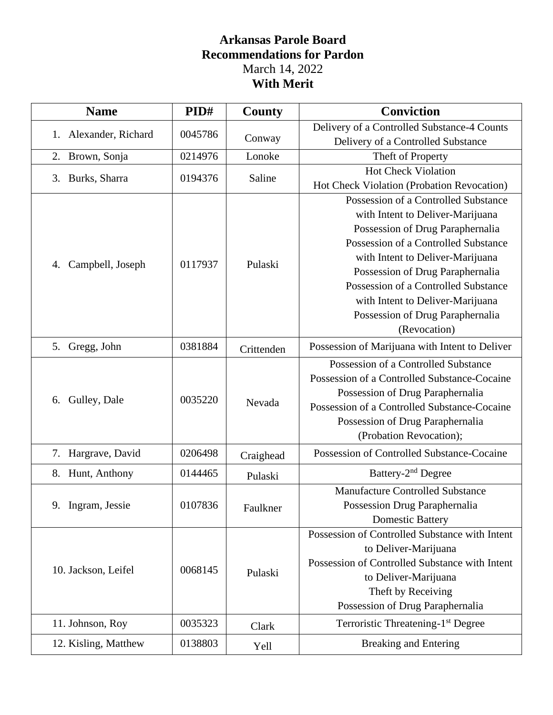# **Arkansas Parole Board Recommendations for Pardon** March 14, 2022 **With Merit**

| <b>Name</b>              | PID#    | County     | <b>Conviction</b>                              |
|--------------------------|---------|------------|------------------------------------------------|
| Alexander, Richard<br>1. | 0045786 |            | Delivery of a Controlled Substance-4 Counts    |
|                          |         | Conway     | Delivery of a Controlled Substance             |
| Brown, Sonja<br>2.       | 0214976 | Lonoke     | Theft of Property                              |
|                          | 0194376 | Saline     | <b>Hot Check Violation</b>                     |
| 3. Burks, Sharra         |         |            | Hot Check Violation (Probation Revocation)     |
|                          |         |            | Possession of a Controlled Substance           |
|                          |         |            | with Intent to Deliver-Marijuana               |
|                          |         |            | Possession of Drug Paraphernalia               |
|                          |         |            | Possession of a Controlled Substance           |
| Campbell, Joseph<br>4.   | 0117937 | Pulaski    | with Intent to Deliver-Marijuana               |
|                          |         |            | Possession of Drug Paraphernalia               |
|                          |         |            | Possession of a Controlled Substance           |
|                          |         |            | with Intent to Deliver-Marijuana               |
|                          |         |            | Possession of Drug Paraphernalia               |
|                          |         |            | (Revocation)                                   |
| 5. Gregg, John           | 0381884 | Crittenden | Possession of Marijuana with Intent to Deliver |
|                          |         |            | Possession of a Controlled Substance           |
|                          | 0035220 | Nevada     | Possession of a Controlled Substance-Cocaine   |
| Gulley, Dale<br>6.       |         |            | Possession of Drug Paraphernalia               |
|                          |         |            | Possession of a Controlled Substance-Cocaine   |
|                          |         |            | Possession of Drug Paraphernalia               |
|                          |         |            | (Probation Revocation);                        |
| 7. Hargrave, David       | 0206498 | Craighead  | Possession of Controlled Substance-Cocaine     |
| 8. Hunt, Anthony         | 0144465 | Pulaski    | Battery-2 <sup>nd</sup> Degree                 |
|                          | 0107836 | Faulkner   | <b>Manufacture Controlled Substance</b>        |
| Ingram, Jessie<br>9.     |         |            | Possession Drug Paraphernalia                  |
|                          |         |            | <b>Domestic Battery</b>                        |
|                          |         |            | Possession of Controlled Substance with Intent |
| 10. Jackson, Leifel      | 0068145 | Pulaski    | to Deliver-Marijuana                           |
|                          |         |            | Possession of Controlled Substance with Intent |
|                          |         |            | to Deliver-Marijuana                           |
|                          |         |            | Theft by Receiving                             |
|                          |         |            | Possession of Drug Paraphernalia               |
| 11. Johnson, Roy         | 0035323 | Clark      | Terroristic Threatening-1 <sup>st</sup> Degree |
| 12. Kisling, Matthew     | 0138803 | Yell       | <b>Breaking and Entering</b>                   |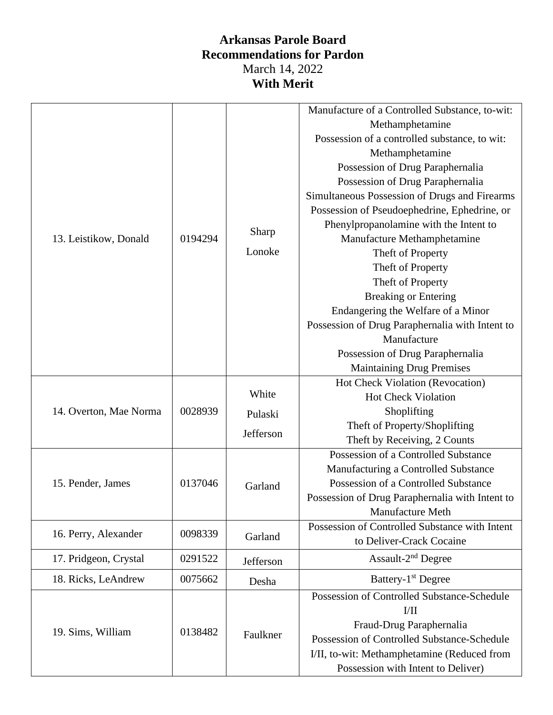## **Arkansas Parole Board Recommendations for Pardon** March 14, 2022 **With Merit**

|                        |         |           | Manufacture of a Controlled Substance, to-wit:  |
|------------------------|---------|-----------|-------------------------------------------------|
|                        | 0194294 | Sharp     | Methamphetamine                                 |
|                        |         |           | Possession of a controlled substance, to wit:   |
|                        |         |           | Methamphetamine                                 |
|                        |         |           | Possession of Drug Paraphernalia                |
|                        |         |           | Possession of Drug Paraphernalia                |
|                        |         |           | Simultaneous Possession of Drugs and Firearms   |
|                        |         |           | Possession of Pseudoephedrine, Ephedrine, or    |
|                        |         |           | Phenylpropanolamine with the Intent to          |
| 13. Leistikow, Donald  |         |           | Manufacture Methamphetamine                     |
|                        |         | Lonoke    | Theft of Property                               |
|                        |         |           | Theft of Property                               |
|                        |         |           | Theft of Property                               |
|                        |         |           | <b>Breaking or Entering</b>                     |
|                        |         |           | Endangering the Welfare of a Minor              |
|                        |         |           | Possession of Drug Paraphernalia with Intent to |
|                        |         |           | Manufacture                                     |
|                        |         |           | Possession of Drug Paraphernalia                |
|                        |         |           | <b>Maintaining Drug Premises</b>                |
|                        | 0028939 | White     | Hot Check Violation (Revocation)                |
|                        |         |           | <b>Hot Check Violation</b>                      |
| 14. Overton, Mae Norma |         | Pulaski   | Shoplifting                                     |
|                        |         | Jefferson | Theft of Property/Shoplifting                   |
|                        |         |           | Theft by Receiving, 2 Counts                    |
|                        | 0137046 |           | Possession of a Controlled Substance            |
|                        |         | Garland   | Manufacturing a Controlled Substance            |
| 15. Pender, James      |         |           | Possession of a Controlled Substance            |
|                        |         |           | Possession of Drug Paraphernalia with Intent to |
|                        |         |           | Manufacture Meth                                |
| 16. Perry, Alexander   | 0098339 | Garland   | Possession of Controlled Substance with Intent  |
|                        |         |           | to Deliver-Crack Cocaine                        |
| 17. Pridgeon, Crystal  | 0291522 | Jefferson | Assault-2 <sup>nd</sup> Degree                  |
| 18. Ricks, LeAndrew    | 0075662 | Desha     | Battery-1 <sup>st</sup> Degree                  |
| 19. Sims, William      | 0138482 | Faulkner  | Possession of Controlled Substance-Schedule     |
|                        |         |           | $V$ II                                          |
|                        |         |           | Fraud-Drug Paraphernalia                        |
|                        |         |           | Possession of Controlled Substance-Schedule     |
|                        |         |           | I/II, to-wit: Methamphetamine (Reduced from     |
|                        |         |           | Possession with Intent to Deliver)              |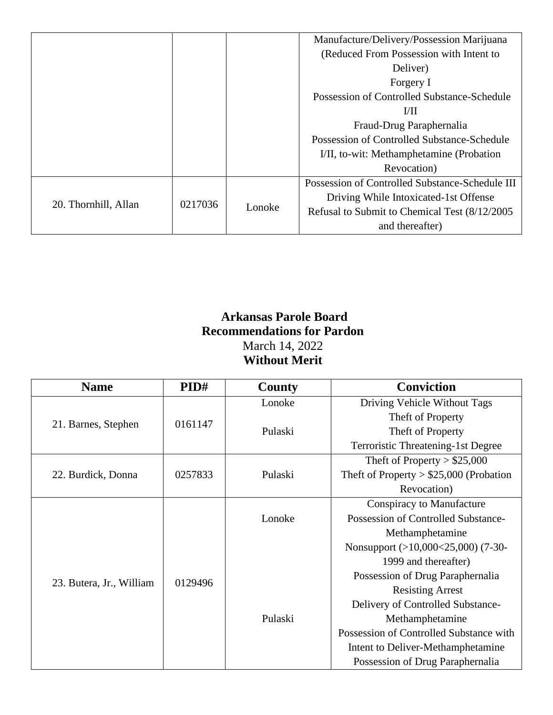|                      |         |        | Manufacture/Delivery/Possession Marijuana       |
|----------------------|---------|--------|-------------------------------------------------|
|                      |         |        | (Reduced From Possession with Intent to         |
|                      |         |        | Deliver)                                        |
|                      |         |        | Forgery I                                       |
|                      |         |        | Possession of Controlled Substance-Schedule     |
|                      |         |        | 1/11                                            |
|                      |         |        | Fraud-Drug Paraphernalia                        |
|                      |         |        | Possession of Controlled Substance-Schedule     |
|                      |         |        | I/II, to-wit: Methamphetamine (Probation)       |
|                      |         |        | Revocation)                                     |
| 20. Thornhill, Allan | 0217036 | Lonoke | Possession of Controlled Substance-Schedule III |
|                      |         |        | Driving While Intoxicated-1st Offense           |
|                      |         |        | Refusal to Submit to Chemical Test (8/12/2005)  |
|                      |         |        | and thereafter)                                 |

### **Arkansas Parole Board Recommendations for Pardon** March 14, 2022 **Without Merit**

| <b>Name</b>              | PID#    | County  | <b>Conviction</b>                         |
|--------------------------|---------|---------|-------------------------------------------|
|                          | 0161147 | Lonoke  | Driving Vehicle Without Tags              |
|                          |         |         | Theft of Property                         |
| 21. Barnes, Stephen      |         | Pulaski | Theft of Property                         |
|                          |         |         | <b>Terroristic Threatening-1st Degree</b> |
|                          |         |         | Theft of Property $> $25,000$             |
| 22. Burdick, Donna       | 0257833 | Pulaski | Theft of Property $> $25,000$ (Probation  |
|                          |         |         | Revocation)                               |
|                          | 0129496 |         | <b>Conspiracy to Manufacture</b>          |
|                          |         | Lonoke  | Possession of Controlled Substance-       |
|                          |         |         | Methamphetamine                           |
|                          |         |         | Nonsupport (>10,000<25,000) (7-30-        |
|                          |         |         | 1999 and thereafter)                      |
| 23. Butera, Jr., William |         |         | Possession of Drug Paraphernalia          |
|                          |         |         | <b>Resisting Arrest</b>                   |
|                          |         |         | Delivery of Controlled Substance-         |
|                          |         | Pulaski | Methamphetamine                           |
|                          |         |         | Possession of Controlled Substance with   |
|                          |         |         | Intent to Deliver-Methamphetamine         |
|                          |         |         | Possession of Drug Paraphernalia          |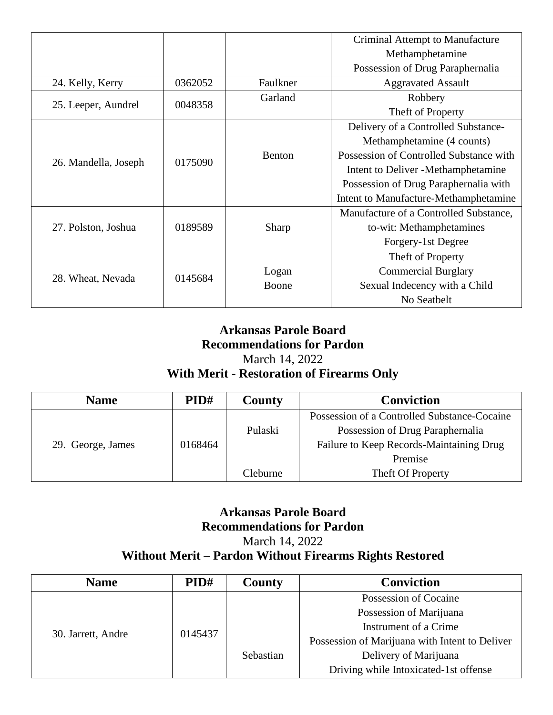|                      |         |               | Criminal Attempt to Manufacture         |
|----------------------|---------|---------------|-----------------------------------------|
|                      |         |               | Methamphetamine                         |
|                      |         |               | Possession of Drug Paraphernalia        |
| 24. Kelly, Kerry     | 0362052 | Faulkner      | <b>Aggravated Assault</b>               |
| 25. Leeper, Aundrel  | 0048358 | Garland       | Robbery                                 |
|                      |         |               | Theft of Property                       |
|                      |         |               | Delivery of a Controlled Substance-     |
|                      |         |               | Methamphetamine (4 counts)              |
|                      | 0175090 | <b>Benton</b> | Possession of Controlled Substance with |
| 26. Mandella, Joseph |         |               | Intent to Deliver - Methamphetamine     |
|                      |         |               | Possession of Drug Paraphernalia with   |
|                      |         |               | Intent to Manufacture-Methamphetamine   |
|                      |         |               | Manufacture of a Controlled Substance,  |
| 27. Polston, Joshua  | 0189589 | Sharp         | to-wit: Methamphetamines                |
|                      |         |               | Forgery-1st Degree                      |
| 28. Wheat, Nevada    | 0145684 |               | Theft of Property                       |
|                      |         | Logan         | <b>Commercial Burglary</b>              |
|                      |         | Boone         | Sexual Indecency with a Child           |
|                      |         |               | No Seatbelt                             |

### **Arkansas Parole Board Recommendations for Pardon** March 14, 2022 **With Merit - Restoration of Firearms Only**

| <b>Name</b>       | PID#    | County   | <b>Conviction</b>                            |
|-------------------|---------|----------|----------------------------------------------|
|                   |         |          | Possession of a Controlled Substance-Cocaine |
|                   |         | Pulaski  | Possession of Drug Paraphernalia             |
| 29. George, James | 0168464 |          | Failure to Keep Records-Maintaining Drug     |
|                   |         |          | Premise                                      |
|                   |         | Cleburne | Theft Of Property                            |

#### **Arkansas Parole Board Recommendations for Pardon** March 14, 2022 **Without Merit – Pardon Without Firearms Rights Restored**

| <b>Name</b>        | PID#    | County    | <b>Conviction</b>                              |
|--------------------|---------|-----------|------------------------------------------------|
| 30. Jarrett, Andre | 0145437 |           | Possession of Cocaine                          |
|                    |         |           | Possession of Marijuana                        |
|                    |         |           | Instrument of a Crime                          |
|                    |         |           | Possession of Marijuana with Intent to Deliver |
|                    |         | Sebastian | Delivery of Marijuana                          |
|                    |         |           | Driving while Intoxicated-1st offense          |